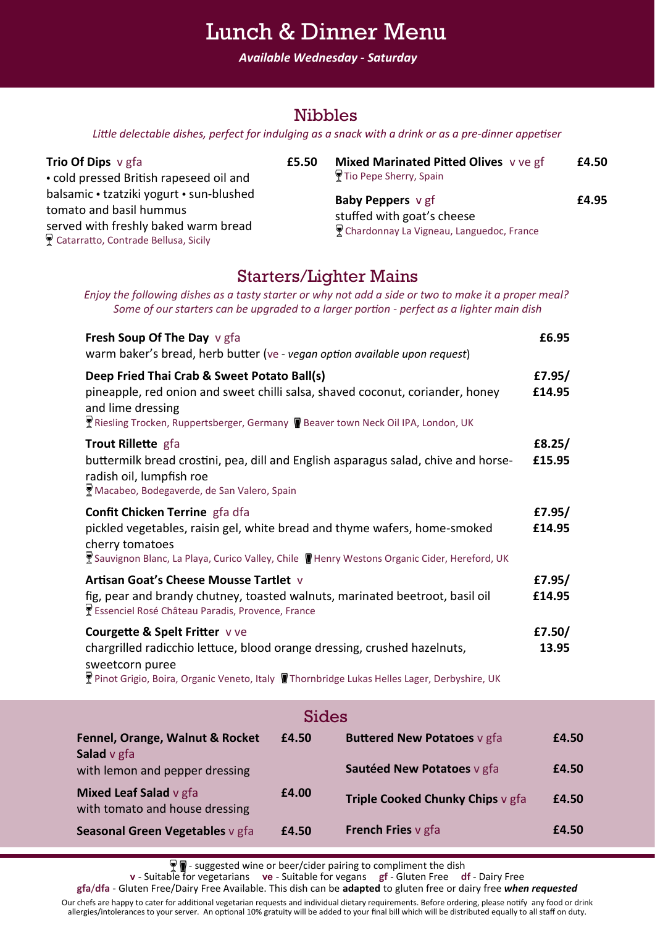## Lunch & Dinner Menu

*Available Wednesday - Saturday*

#### Nibbles

*Little delectable dishes, perfect for indulging as a snack with a drink or as a pre-dinner appetiser*

| Trio Of Dips v gfa                                                                                                                                  | £5.50 | Mixed Marinated Pitted Olives vve gf                                                               | £4.50 |
|-----------------------------------------------------------------------------------------------------------------------------------------------------|-------|----------------------------------------------------------------------------------------------------|-------|
| • cold pressed British rapeseed oil and                                                                                                             |       | ¶Tio Pepe Sherry, Spain                                                                            |       |
| balsamic • tzatziki yogurt • sun-blushed<br>tomato and basil hummus<br>served with freshly baked warm bread<br>Catarratto, Contrade Bellusa, Sicily |       | <b>Baby Peppers</b> v gf<br>stuffed with goat's cheese<br>Chardonnay La Vigneau, Languedoc, France | £4.95 |

### Starters/Lighter Mains

*Enjoy the following dishes as a tasty starter or why not add a side or two to make it a proper meal? Some of our starters can be upgraded to a larger portion - perfect as a lighter main dish* 

| Fresh Soup Of The Day v gfa<br>warm baker's bread, herb butter (ve - vegan option available upon request)                                                                                                                                | £6.95            |
|------------------------------------------------------------------------------------------------------------------------------------------------------------------------------------------------------------------------------------------|------------------|
| Deep Fried Thai Crab & Sweet Potato Ball(s)<br>pineapple, red onion and sweet chilli salsa, shaved coconut, coriander, honey<br>and lime dressing<br>Riesling Trocken, Ruppertsberger, Germany Deaver town Neck Oil IPA, London, UK      | £7.95/<br>£14.95 |
| Trout Rillette gfa<br>buttermilk bread crostini, pea, dill and English asparagus salad, chive and horse-<br>radish oil, lumpfish roe<br>Macabeo, Bodegaverde, de San Valero, Spain                                                       | £8.25/<br>£15.95 |
| Confit Chicken Terrine gfa dfa<br>pickled vegetables, raisin gel, white bread and thyme wafers, home-smoked<br>cherry tomatoes<br>Sauvignon Blanc, La Playa, Curico Valley, Chile II Henry Westons Organic Cider, Hereford, UK           | £7.95/<br>£14.95 |
| Artisan Goat's Cheese Mousse Tartlet v<br>fig, pear and brandy chutney, toasted walnuts, marinated beetroot, basil oil<br>Essenciel Rosé Château Paradis, Provence, France                                                               | £7.95/<br>£14.95 |
| <b>Courgette &amp; Spelt Fritter vve</b><br>chargrilled radicchio lettuce, blood orange dressing, crushed hazelnuts,<br>sweetcorn puree<br>∑ Pinot Grigio, Boira, Organic Veneto, Italy ¶ Thornbridge Lukas Helles Lager, Derbyshire, UK | £7.50/<br>13.95  |

| <b>Sides</b>                                             |       |                                    |       |  |  |  |
|----------------------------------------------------------|-------|------------------------------------|-------|--|--|--|
| Fennel, Orange, Walnut & Rocket                          | £4.50 | <b>Buttered New Potatoes v gfa</b> | £4.50 |  |  |  |
| <b>Salad</b> v gfa<br>with lemon and pepper dressing     |       | Sautéed New Potatoes v gfa         | £4.50 |  |  |  |
| Mixed Leaf Salad v gfa<br>with tomato and house dressing | £4.00 | Triple Cooked Chunky Chips v gfa   | £4.50 |  |  |  |
| Seasonal Green Vegetables v gfa                          | £4.50 | <b>French Fries v gfa</b>          | £4.50 |  |  |  |

- suggested wine or beer/cider pairing to compliment the dish

**v** - Suitable for vegetarians **ve** - Suitable for vegans **gf** - Gluten Free **df** - Dairy Free

**gfa**/**dfa** - Gluten Free/Dairy Free Available. This dish can be **adapted** to gluten free or dairy free *when requested*

Our chefs are happy to cater for additional vegetarian requests and individual dietary requirements. Before ordering, please notify any food or drink allergies/intolerances to your server. An optional 10% gratuity will be added to your final bill which will be distributed equally to all staff on duty.